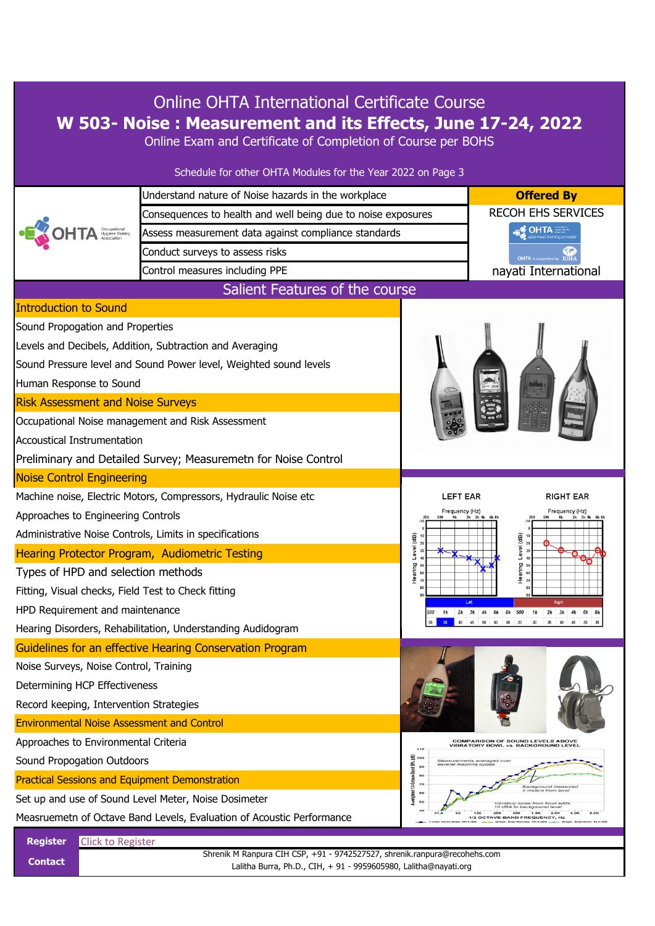| <b>Online OHTA International Certificate Course</b><br>W 503- Noise: Measurement and its Effects, June 17-24, 2022<br>Online Exam and Certificate of Completion of Course per BOHS |                                                                                                                                               |                                                                                                                |  |  |
|------------------------------------------------------------------------------------------------------------------------------------------------------------------------------------|-----------------------------------------------------------------------------------------------------------------------------------------------|----------------------------------------------------------------------------------------------------------------|--|--|
|                                                                                                                                                                                    | Schedule for other OHTA Modules for the Year 2022 on Page 3                                                                                   |                                                                                                                |  |  |
|                                                                                                                                                                                    | Understand nature of Noise hazards in the workplace                                                                                           | <b>Offered By</b>                                                                                              |  |  |
|                                                                                                                                                                                    | Consequences to health and well being due to noise exposures                                                                                  | <b>RECOH EHS SERVICES</b>                                                                                      |  |  |
|                                                                                                                                                                                    | Assess measurement data against compliance standards                                                                                          | <b>OHTA</b>                                                                                                    |  |  |
|                                                                                                                                                                                    | Conduct surveys to assess risks                                                                                                               | OHTA is supported by                                                                                           |  |  |
|                                                                                                                                                                                    | Control measures including PPE                                                                                                                | nayati International                                                                                           |  |  |
|                                                                                                                                                                                    | Salient Features of the course                                                                                                                |                                                                                                                |  |  |
| <b>Introduction to Sound</b>                                                                                                                                                       |                                                                                                                                               |                                                                                                                |  |  |
| Sound Propogation and Properties                                                                                                                                                   |                                                                                                                                               |                                                                                                                |  |  |
|                                                                                                                                                                                    | Levels and Decibels, Addition, Subtraction and Averaging                                                                                      |                                                                                                                |  |  |
|                                                                                                                                                                                    | Sound Pressure level and Sound Power level, Weighted sound levels                                                                             |                                                                                                                |  |  |
| Human Response to Sound                                                                                                                                                            |                                                                                                                                               |                                                                                                                |  |  |
| <b>Risk Assessment and Noise Surveys</b>                                                                                                                                           |                                                                                                                                               |                                                                                                                |  |  |
|                                                                                                                                                                                    | Occupational Noise management and Risk Assessment                                                                                             |                                                                                                                |  |  |
| Accoustical Instrumentation                                                                                                                                                        |                                                                                                                                               |                                                                                                                |  |  |
|                                                                                                                                                                                    | Preliminary and Detailed Survey; Measuremetn for Noise Control                                                                                |                                                                                                                |  |  |
| <b>Noise Control Engineering</b>                                                                                                                                                   |                                                                                                                                               |                                                                                                                |  |  |
| Machine noise, Electric Motors, Compressors, Hydraulic Noise etc                                                                                                                   |                                                                                                                                               | <b>LEFT EAR</b><br>RIGHT EAR                                                                                   |  |  |
| Approaches to Engineering Controls                                                                                                                                                 |                                                                                                                                               | Frequency (Hz)<br>Frequency (Hz)<br>(dB)<br>(dB)<br>Level<br>Level<br>aring<br>ថ្នា<br>Ĭ<br>Ĭ<br>Left<br>Right |  |  |
| Administrative Noise Controls, Limits in specifications                                                                                                                            |                                                                                                                                               |                                                                                                                |  |  |
| Hearing Protector Program, Audiometric Testing                                                                                                                                     |                                                                                                                                               |                                                                                                                |  |  |
| Types of HPD and selection methods                                                                                                                                                 |                                                                                                                                               |                                                                                                                |  |  |
| Fitting, Visual checks, Field Test to Check fitting                                                                                                                                |                                                                                                                                               |                                                                                                                |  |  |
| HPD Requirement and maintenance                                                                                                                                                    |                                                                                                                                               | 2k 3k 4k 6k<br>8k 500<br>1 k<br>1 k<br>$2k$ $3k$<br>6k<br>500<br>4k                                            |  |  |
|                                                                                                                                                                                    | Hearing Disorders, Rehabilitation, Understanding Audidogram                                                                                   | 35<br>40<br>46<br>55<br>50<br>40<br>20<br>30<br>35<br>40<br>45<br>30                                           |  |  |
|                                                                                                                                                                                    | Guidelines for an effective Hearing Conservation Program                                                                                      |                                                                                                                |  |  |
| Noise Surveys, Noise Control, Training                                                                                                                                             |                                                                                                                                               |                                                                                                                |  |  |
| Determining HCP Effectiveness                                                                                                                                                      |                                                                                                                                               | <b>COMPARISON OF SOUND LEVELS ABOVE</b><br><b>VIBRATORY BOWL vs. BACKGROUND LEVEL</b><br>110                   |  |  |
| Record keeping, Intervention Strategies                                                                                                                                            |                                                                                                                                               |                                                                                                                |  |  |
| <b>Environmental Noise Assessment and Control</b>                                                                                                                                  |                                                                                                                                               |                                                                                                                |  |  |
| Approaches to Environmental Criteria                                                                                                                                               |                                                                                                                                               |                                                                                                                |  |  |
| Sound Propogation Outdoors                                                                                                                                                         |                                                                                                                                               | 罗100<br>Measurements averaged over<br>veral machine cycle.<br>90                                               |  |  |
| <b>Practical Sessions and Equipment Demonstration</b>                                                                                                                              |                                                                                                                                               | ted 113 Octave-Band SPI<br>80<br>70<br>Background measurec<br>3 meters from bowl                               |  |  |
|                                                                                                                                                                                    | Set up and use of Sound Level Meter, Noise Dosimeter                                                                                          | 6¢<br>Vibratory noise from bowl adds<br>10 dBA to background leve.                                             |  |  |
| 250<br>1.0K<br>2.0K<br>Measruemetn of Octave Band Levels, Evaluation of Acoustic Performance<br>1/3 OCTAVE-BAND FREQUENCY, Hz                                                      |                                                                                                                                               |                                                                                                                |  |  |
| <b>Register</b><br><b>Click to Register</b>                                                                                                                                        |                                                                                                                                               |                                                                                                                |  |  |
| <b>Contact</b>                                                                                                                                                                     | Shrenik M Ranpura CIH CSP, +91 - 9742527527, shrenik.ranpura@recohehs.com<br>Lalitha Burra, Ph.D., CIH, + 91 - 9959605980, Lalitha@nayati.org |                                                                                                                |  |  |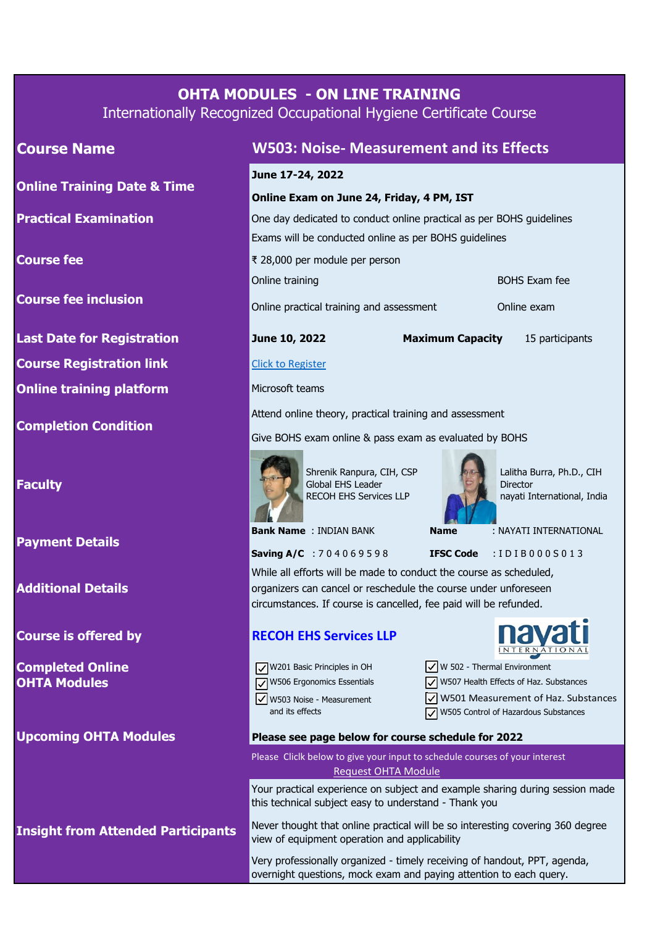# **OHTA MODULES - ON LINE TRAINING**

Internationally Recognized Occupational Hygiene Certificate Course

**Online Training Date & Time**

**Practical Examination**

**Course fee**

**Course fee inclusion**

**Last Date for Registration June 10, 2022**

**Course Registration link**

**Online training platform**

**Completion Condition**

**Faculty**

**Payment Details**

**Additional Details**

**Course is offered by**

**Completed Online OHTA Modules** 

**Upcoming OHTA Modules**

**Insight from Attended Participants**

## **Course Name W503: Noise- Measurement and its Effects**

### **June 17-24, 2022**

#### **Online Exam on June 24, Friday, 4 PM, IST**

One day dedicated to conduct online practical as per BOHS guidelines Exams will be conducted online as per BOHS guidelines

₹ 28,000 per module per person

Online training

Online practical training and assessment

**Maximum Capacity** 15 participants

BOHS Exam fee

Online exam

#### [Click t](https://docs.google.com/forms/d/e/1FAIpQLSfHa6qubY44Bha3BAcHrDRIddS0OodxVHS2ST3MJiP9mCoyRA/viewform?usp=sf_link)o Register

Microsoft teams

Attend online theory, practical training and assessment

Give BOHS exam online & pass exam as evaluated by BOHS



Shrenik Ranpura, CIH, CSP Global EHS Leader RECOH EHS Services LLP



 Lalitha Burra, Ph.D., CIH **Director** nayati International, India

**Bank Name** : INDIAN BANK **Name** : NAYATI INTERNATIONAL

**Saving A/C** : 7 0 4 0 6 9 5 9 8 **IFSC Code** : I D I B 0 0 0 S 0 1 3

While all efforts will be made to conduct the course as scheduled, organizers can cancel or reschedule the course under unforeseen circumstances. If course is cancelled, fee paid will be refunded.

## **RECOH EHS Services LLP**

 $\sqrt{\phantom{a}}$  W503 Noise - Measurement and its effects  $\sqrt{\sqrt{W}}$ 201 Basic Principles in OH  $\sqrt{\phantom{a}}$  W506 Ergonomics Essentials

|                                          | <u>INTERNATIONAL</u> |  |  |  |
|------------------------------------------|----------------------|--|--|--|
| $\sqrt{\ }$ W 502 - Thermal Environment  |                      |  |  |  |
| V W507 Health Effects of Haz. Substances |                      |  |  |  |
| V W501 Measurement of Haz. Substances    |                      |  |  |  |
| V W505 Control of Hazardous Substances   |                      |  |  |  |
|                                          |                      |  |  |  |

**navati** 

#### **Please see page below for course schedule for 2022**

[Request OHTA Module](about:blank) Please Cliclk below to give your input to schedule courses of your interest

Your practical experience on subject and example sharing during session made this technical subject easy to understand - Thank you

Never thought that online practical will be so interesting covering 360 degree view of equipment operation and applicability

Very professionally organized - timely receiving of handout, PPT, agenda, overnight questions, mock exam and paying attention to each query.